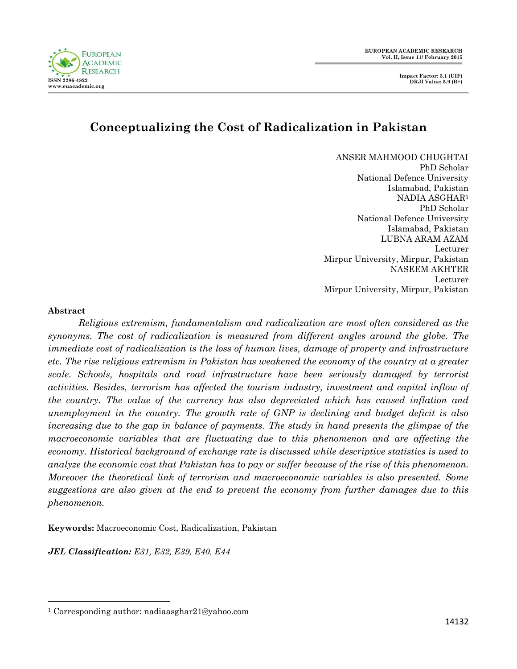

#### **FUROPEAN ACADEMIC RESEARCH ISSN 2286-4822 www.euacademic.org**

# **Conceptualizing the Cost of Radicalization in Pakistan**

ANSER MAHMOOD CHUGHTAI PhD Scholar National Defence University Islamabad, Pakistan NADIA ASGHAR<sup>1</sup> PhD Scholar National Defence University Islamabad, Pakistan LUBNA ARAM AZAM Lecturer Mirpur University, Mirpur, Pakistan NASEEM AKHTER Lecturer Mirpur University, Mirpur, Pakistan

#### **Abstract**

 $\overline{a}$ 

*Religious extremism, fundamentalism and radicalization are most often considered as the synonyms. The cost of radicalization is measured from different angles around the globe. The immediate cost of radicalization is the loss of human lives, damage of property and infrastructure etc. The rise religious extremism in Pakistan has weakened the economy of the country at a greater scale. Schools, hospitals and road infrastructure have been seriously damaged by terrorist activities. Besides, terrorism has affected the tourism industry, investment and capital inflow of the country. The value of the currency has also depreciated which has caused inflation and unemployment in the country. The growth rate of GNP is declining and budget deficit is also increasing due to the gap in balance of payments. The study in hand presents the glimpse of the macroeconomic variables that are fluctuating due to this phenomenon and are affecting the economy. Historical background of exchange rate is discussed while descriptive statistics is used to analyze the economic cost that Pakistan has to pay or suffer because of the rise of this phenomenon. Moreover the theoretical link of terrorism and macroeconomic variables is also presented. Some suggestions are also given at the end to prevent the economy from further damages due to this phenomenon.*

**Keywords:** Macroeconomic Cost, Radicalization, Pakistan

*JEL Classification: E31, E32, E39, E40, E44*

<sup>1</sup> Corresponding author: nadiaasghar21@yahoo.com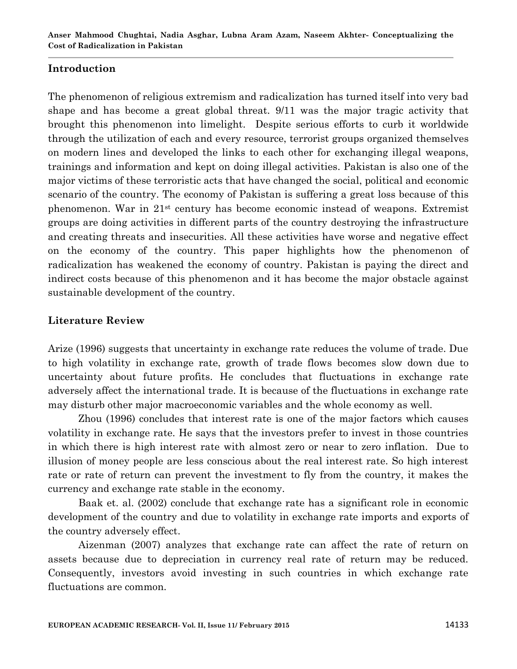### **Introduction**

The phenomenon of religious extremism and radicalization has turned itself into very bad shape and has become a great global threat. 9/11 was the major tragic activity that brought this phenomenon into limelight. Despite serious efforts to curb it worldwide through the utilization of each and every resource, terrorist groups organized themselves on modern lines and developed the links to each other for exchanging illegal weapons, trainings and information and kept on doing illegal activities. Pakistan is also one of the major victims of these terroristic acts that have changed the social, political and economic scenario of the country. The economy of Pakistan is suffering a great loss because of this phenomenon. War in 21st century has become economic instead of weapons. Extremist groups are doing activities in different parts of the country destroying the infrastructure and creating threats and insecurities. All these activities have worse and negative effect on the economy of the country. This paper highlights how the phenomenon of radicalization has weakened the economy of country. Pakistan is paying the direct and indirect costs because of this phenomenon and it has become the major obstacle against sustainable development of the country.

### **Literature Review**

Arize (1996) suggests that uncertainty in exchange rate reduces the volume of trade. Due to high volatility in exchange rate, growth of trade flows becomes slow down due to uncertainty about future profits. He concludes that fluctuations in exchange rate adversely affect the international trade. It is because of the fluctuations in exchange rate may disturb other major macroeconomic variables and the whole economy as well.

Zhou (1996) concludes that interest rate is one of the major factors which causes volatility in exchange rate. He says that the investors prefer to invest in those countries in which there is high interest rate with almost zero or near to zero inflation. Due to illusion of money people are less conscious about the real interest rate. So high interest rate or rate of return can prevent the investment to fly from the country, it makes the currency and exchange rate stable in the economy.

Baak et. al. (2002) conclude that exchange rate has a significant role in economic development of the country and due to volatility in exchange rate imports and exports of the country adversely effect.

Aizenman (2007) analyzes that exchange rate can affect the rate of return on assets because due to depreciation in currency real rate of return may be reduced. Consequently, investors avoid investing in such countries in which exchange rate fluctuations are common.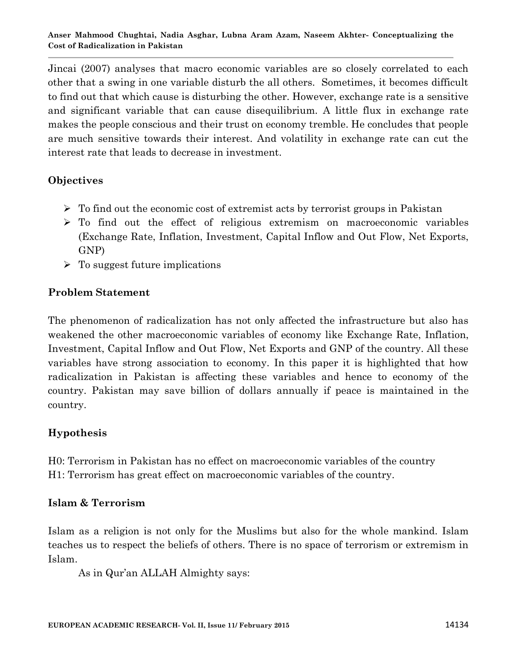Jincai (2007) analyses that macro economic variables are so closely correlated to each other that a swing in one variable disturb the all others. Sometimes, it becomes difficult to find out that which cause is disturbing the other. However, exchange rate is a sensitive and significant variable that can cause disequilibrium. A little flux in exchange rate makes the people conscious and their trust on economy tremble. He concludes that people are much sensitive towards their interest. And volatility in exchange rate can cut the interest rate that leads to decrease in investment.

### **Objectives**

- $\triangleright$  To find out the economic cost of extremist acts by terrorist groups in Pakistan
- $\triangleright$  To find out the effect of religious extremism on macroeconomic variables (Exchange Rate, Inflation, Investment, Capital Inflow and Out Flow, Net Exports, GNP)
- $\triangleright$  To suggest future implications

## **Problem Statement**

The phenomenon of radicalization has not only affected the infrastructure but also has weakened the other macroeconomic variables of economy like Exchange Rate, Inflation, Investment, Capital Inflow and Out Flow, Net Exports and GNP of the country. All these variables have strong association to economy. In this paper it is highlighted that how radicalization in Pakistan is affecting these variables and hence to economy of the country. Pakistan may save billion of dollars annually if peace is maintained in the country.

### **Hypothesis**

H0: Terrorism in Pakistan has no effect on macroeconomic variables of the country H1: Terrorism has great effect on macroeconomic variables of the country.

### **Islam & Terrorism**

Islam as a religion is not only for the Muslims but also for the whole mankind. Islam teaches us to respect the beliefs of others. There is no space of terrorism or extremism in Islam.

As in Qur'an ALLAH Almighty says: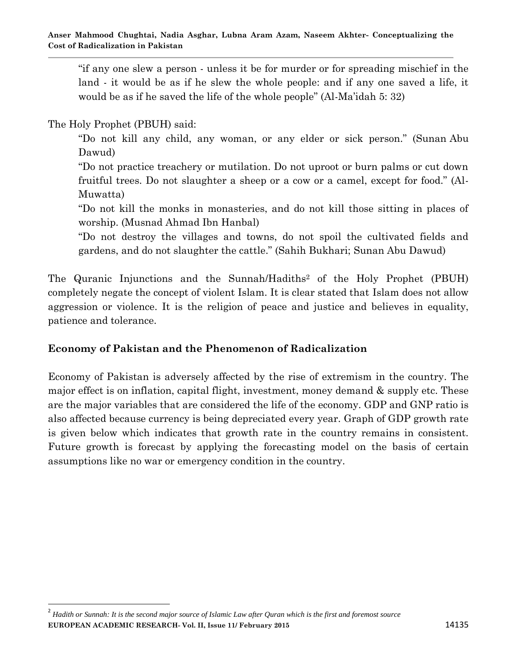"if any one slew a person - unless it be for murder or for spreading mischief in the land - it would be as if he slew the whole people: and if any one saved a life, it would be as if he saved the life of the whole people" (Al-Ma'idah 5: 32)

The Holy Prophet (PBUH) said:

 $\overline{a}$ 

"Do not kill any child, any woman, or any elder or sick person." (Sunan Abu Dawud)

"Do not practice treachery or mutilation. Do not uproot or burn palms or cut down fruitful trees. Do not slaughter a sheep or a cow or a camel, except for food." (Al-Muwatta)

"Do not kill the monks in monasteries, and do not kill those sitting in places of worship. (Musnad Ahmad Ibn Hanbal)

"Do not destroy the villages and towns, do not spoil the cultivated fields and gardens, and do not slaughter the cattle." (Sahih Bukhari; Sunan Abu Dawud)

The Quranic Injunctions and the Sunnah/Hadiths<sup>2</sup> of the Holy Prophet (PBUH) completely negate the concept of violent Islam. It is clear stated that Islam does not allow aggression or violence. It is the religion of peace and justice and believes in equality, patience and tolerance.

### **Economy of Pakistan and the Phenomenon of Radicalization**

Economy of Pakistan is adversely affected by the rise of extremism in the country. The major effect is on inflation, capital flight, investment, money demand & supply etc. These are the major variables that are considered the life of the economy. GDP and GNP ratio is also affected because currency is being depreciated every year. Graph of GDP growth rate is given below which indicates that growth rate in the country remains in consistent. Future growth is forecast by applying the forecasting model on the basis of certain assumptions like no war or emergency condition in the country.

**EUROPEAN ACADEMIC RESEARCH- Vol. II, Issue 11/ February 2015** 14135 2 *Hadith or Sunnah: It is the second major source of Islamic Law after Quran which is the first and foremost source*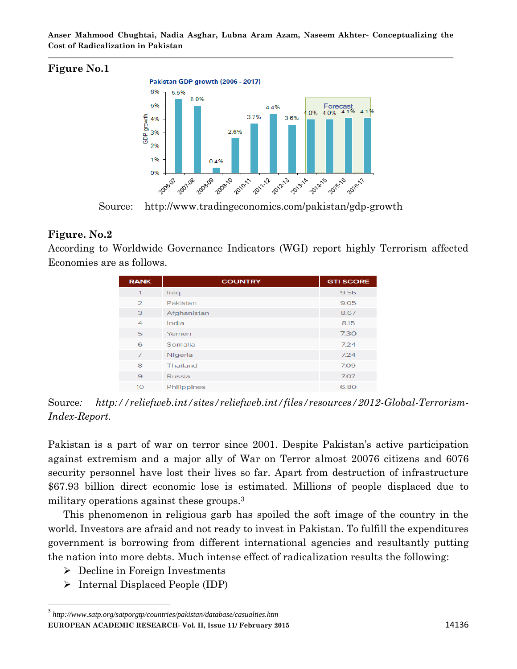**Anser Mahmood Chughtai, Nadia Asghar, Lubna Aram Azam, Naseem Akhter- Conceptualizing the Cost of Radicalization in Pakistan**

### **Figure No.1**



Source: http://www.tradingeconomics.com/pakistan/gdp-growth

### **Figure. No.2**

According to Worldwide Governance Indicators (WGI) report highly Terrorism affected Economies are as follows.

| <b>RANK</b>    | <b>COUNTRY</b> | <b>GTI SCORE</b> |
|----------------|----------------|------------------|
| 1              | Iraq           | 9.56             |
| $\overline{2}$ | Pakistan       | 9.05             |
| 3              | Afghanistan    | 8.67             |
| $\overline{4}$ | India          | 8.15             |
| 5              | Yemen          | 7.30             |
| 6              | Somalia        | 7.24             |
| $\overline{7}$ | Nigeria        | 7.24             |
| 8              | Thailand       | 7.09             |
| 9              | Russia         | 7.07             |
| 10             | Philippines    | 6.80             |

Source*: http://reliefweb.int/sites/reliefweb.int/files/resources/2012-Global-Terrorism-Index-Report.*

Pakistan is a part of war on terror since 2001. Despite Pakistan's active participation against extremism and a major ally of War on Terror almost 20076 citizens and 6076 security personnel have lost their lives so far. Apart from destruction of infrastructure \$67.93 billion direct economic lose is estimated. Millions of people displaced due to military operations against these groups.<sup>3</sup>

This phenomenon in religious garb has spoiled the soft image of the country in the world. Investors are afraid and not ready to invest in Pakistan. To fulfill the expenditures government is borrowing from different international agencies and resultantly putting the nation into more debts. Much intense effect of radicalization results the following:

- Decline in Foreign Investments
- $\triangleright$  Internal Displaced People (IDP)

**EUROPEAN ACADEMIC RESEARCH- Vol. II, Issue 11/ February 2015** 14136 3 *http://www.satp.org/satporgtp/countries/pakistan/database/casualties.htm*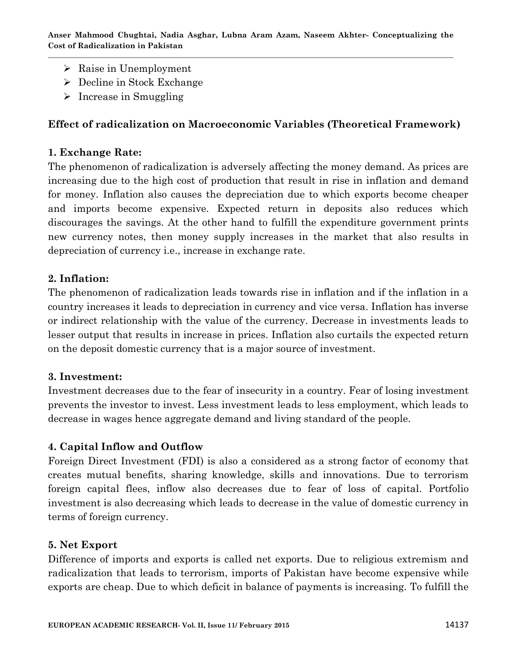**Anser Mahmood Chughtai, Nadia Asghar, Lubna Aram Azam, Naseem Akhter- Conceptualizing the Cost of Radicalization in Pakistan**

- $\triangleright$  Raise in Unemployment
- $\triangleright$  Decline in Stock Exchange
- $\triangleright$  Increase in Smuggling

#### **Effect of radicalization on Macroeconomic Variables (Theoretical Framework)**

#### **1. Exchange Rate:**

The phenomenon of radicalization is adversely affecting the money demand. As prices are increasing due to the high cost of production that result in rise in inflation and demand for money. Inflation also causes the depreciation due to which exports become cheaper and imports become expensive. Expected return in deposits also reduces which discourages the savings. At the other hand to fulfill the expenditure government prints new currency notes, then money supply increases in the market that also results in depreciation of currency i.e., increase in exchange rate.

#### **2. Inflation:**

The phenomenon of radicalization leads towards rise in inflation and if the inflation in a country increases it leads to depreciation in currency and vice versa. Inflation has inverse or indirect relationship with the value of the currency. Decrease in investments leads to lesser output that results in increase in prices. Inflation also curtails the expected return on the deposit domestic currency that is a major source of investment.

#### **3. Investment:**

Investment decreases due to the fear of insecurity in a country. Fear of losing investment prevents the investor to invest. Less investment leads to less employment, which leads to decrease in wages hence aggregate demand and living standard of the people.

#### **4. Capital Inflow and Outflow**

Foreign Direct Investment (FDI) is also a considered as a strong factor of economy that creates mutual benefits, sharing knowledge, skills and innovations. Due to terrorism foreign capital flees, inflow also decreases due to fear of loss of capital. Portfolio investment is also decreasing which leads to decrease in the value of domestic currency in terms of foreign currency.

#### **5. Net Export**

Difference of imports and exports is called net exports. Due to religious extremism and radicalization that leads to terrorism, imports of Pakistan have become expensive while exports are cheap. Due to which deficit in balance of payments is increasing. To fulfill the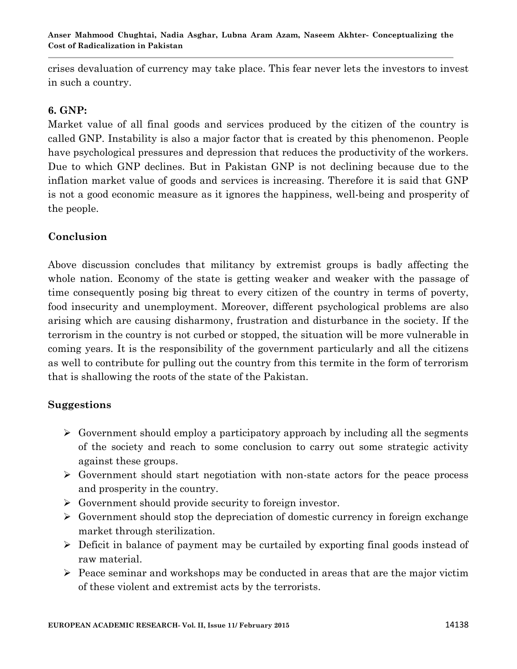crises devaluation of currency may take place. This fear never lets the investors to invest in such a country.

### **6. GNP:**

Market value of all final goods and services produced by the citizen of the country is called GNP. Instability is also a major factor that is created by this phenomenon. People have psychological pressures and depression that reduces the productivity of the workers. Due to which GNP declines. But in Pakistan GNP is not declining because due to the inflation market value of goods and services is increasing. Therefore it is said that GNP is not a good economic measure as it ignores the happiness, well-being and prosperity of the people.

### **Conclusion**

Above discussion concludes that militancy by extremist groups is badly affecting the whole nation. Economy of the state is getting weaker and weaker with the passage of time consequently posing big threat to every citizen of the country in terms of poverty, food insecurity and unemployment. Moreover, different psychological problems are also arising which are causing disharmony, frustration and disturbance in the society. If the terrorism in the country is not curbed or stopped, the situation will be more vulnerable in coming years. It is the responsibility of the government particularly and all the citizens as well to contribute for pulling out the country from this termite in the form of terrorism that is shallowing the roots of the state of the Pakistan.

### **Suggestions**

- $\triangleright$  Government should employ a participatory approach by including all the segments of the society and reach to some conclusion to carry out some strategic activity against these groups.
- $\triangleright$  Government should start negotiation with non-state actors for the peace process and prosperity in the country.
- Government should provide security to foreign investor.
- $\triangleright$  Government should stop the depreciation of domestic currency in foreign exchange market through sterilization.
- Deficit in balance of payment may be curtailed by exporting final goods instead of raw material.
- $\triangleright$  Peace seminar and workshops may be conducted in areas that are the major victim of these violent and extremist acts by the terrorists.